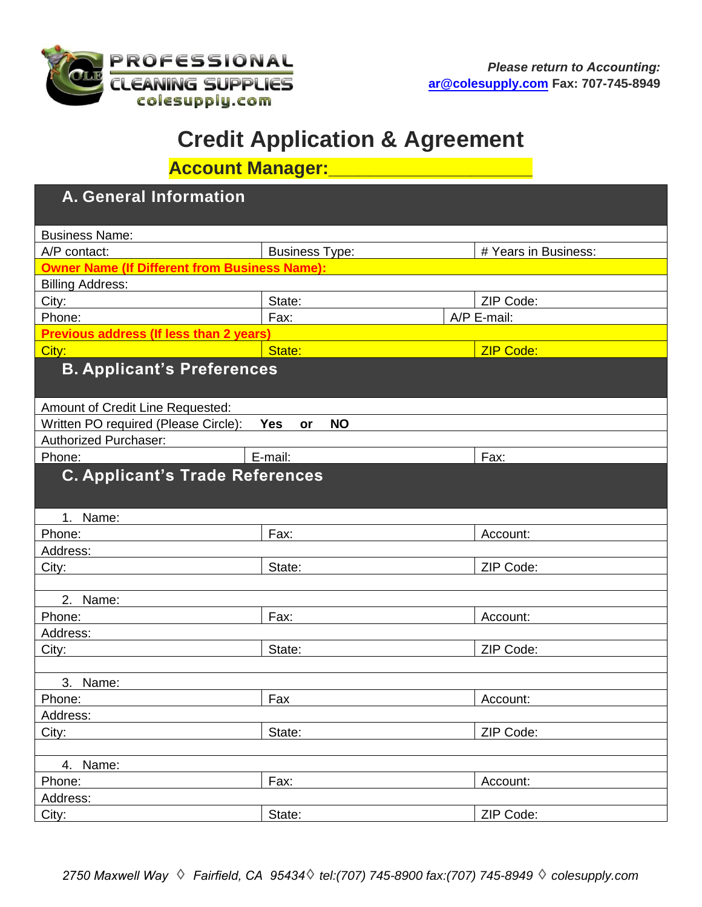

# **Credit Application & Agreement**

**Account Manager:\_\_\_\_\_\_\_\_\_\_\_\_\_\_\_\_\_\_\_\_**

| <b>A. General Information</b>                        |                               |                      |  |  |  |  |  |
|------------------------------------------------------|-------------------------------|----------------------|--|--|--|--|--|
| <b>Business Name:</b>                                |                               |                      |  |  |  |  |  |
| A/P contact:                                         | <b>Business Type:</b>         | # Years in Business: |  |  |  |  |  |
| <b>Owner Name (If Different from Business Name):</b> |                               |                      |  |  |  |  |  |
| <b>Billing Address:</b>                              |                               |                      |  |  |  |  |  |
| City:                                                | State:                        | ZIP Code:            |  |  |  |  |  |
| Phone:                                               | Fax:                          | A/P E-mail:          |  |  |  |  |  |
| <b>Previous address (If less than 2 years)</b>       |                               |                      |  |  |  |  |  |
| City:                                                | State:                        | <b>ZIP Code:</b>     |  |  |  |  |  |
| <b>B. Applicant's Preferences</b>                    |                               |                      |  |  |  |  |  |
| Amount of Credit Line Requested:                     |                               |                      |  |  |  |  |  |
| Written PO required (Please Circle):                 | <b>NO</b><br><b>Yes</b><br>or |                      |  |  |  |  |  |
| <b>Authorized Purchaser:</b>                         |                               |                      |  |  |  |  |  |
| Phone:                                               | E-mail:                       | Fax:                 |  |  |  |  |  |
| <b>C. Applicant's Trade References</b>               |                               |                      |  |  |  |  |  |
| 1. Name:                                             |                               |                      |  |  |  |  |  |
| Phone:                                               | Fax:                          | Account:             |  |  |  |  |  |
| Address:                                             |                               |                      |  |  |  |  |  |
| City:                                                | State:                        | ZIP Code:            |  |  |  |  |  |
|                                                      |                               |                      |  |  |  |  |  |
| 2. Name:                                             |                               |                      |  |  |  |  |  |
| Phone:                                               | Fax:                          | Account:             |  |  |  |  |  |
| Address:                                             |                               |                      |  |  |  |  |  |
| City:                                                | State:                        | ZIP Code:            |  |  |  |  |  |
|                                                      |                               |                      |  |  |  |  |  |
| 3. Name:                                             |                               |                      |  |  |  |  |  |
| Phone:                                               | Fax                           | Account:             |  |  |  |  |  |
| Address:                                             |                               |                      |  |  |  |  |  |
| City:                                                | State:                        | ZIP Code:            |  |  |  |  |  |
|                                                      |                               |                      |  |  |  |  |  |
| 4. Name:                                             |                               |                      |  |  |  |  |  |
| Phone:                                               | Fax:                          | Account:             |  |  |  |  |  |
| Address:                                             |                               |                      |  |  |  |  |  |
| City:                                                | State:                        | ZIP Code:            |  |  |  |  |  |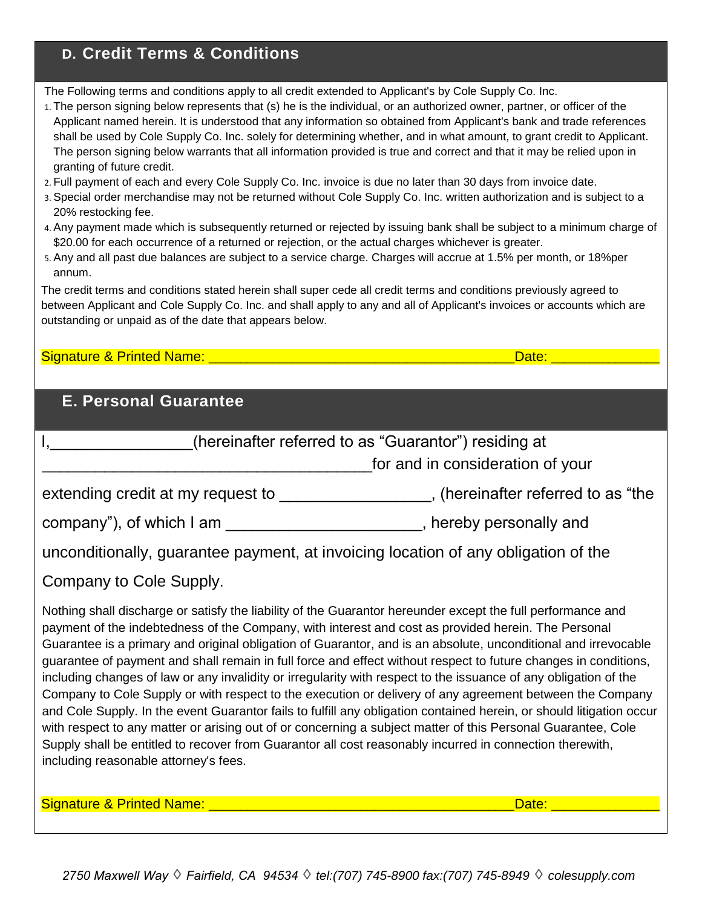## **D. Credit Terms & Conditions**

The Following terms and conditions apply to all credit extended to Applicant's by Cole Supply Co. Inc.

- 1. The person signing below represents that (s) he is the individual, or an authorized owner, partner, or officer of the Applicant named herein. It is understood that any information so obtained from Applicant's bank and trade references shall be used by Cole Supply Co. Inc. solely for determining whether, and in what amount, to grant credit to Applicant. The person signing below warrants that all information provided is true and correct and that it may be relied upon in granting of future credit.
- 2. Full payment of each and every Cole Supply Co. Inc. invoice is due no later than 30 days from invoice date.
- 3. Special order merchandise may not be returned without Cole Supply Co. Inc. written authorization and is subject to a 20% restocking fee.
- 4. Any payment made which is subsequently returned or rejected by issuing bank shall be subject to a minimum charge of \$20.00 for each occurrence of a returned or rejection, or the actual charges whichever is greater.
- 5. Any and all past due balances are subject to a service charge. Charges will accrue at 1.5% per month, or 18%per annum.

The credit terms and conditions stated herein shall super cede all credit terms and conditions previously agreed to between Applicant and Cole Supply Co. Inc. and shall apply to any and all of Applicant's invoices or accounts which are outstanding or unpaid as of the date that appears below.

#### Signature & Printed Name: \_\_\_\_\_\_\_\_\_\_\_\_\_\_\_\_\_\_\_\_\_\_\_\_\_\_\_\_\_\_\_\_\_\_\_\_\_\_\_\_\_\_\_\_\_\_\_\_Date: \_\_\_\_\_\_\_\_\_\_\_\_\_\_\_\_\_

### **E. Personal Guarantee**

| (hereinafter referred to as "Guarantor") residing at<br>for and in consideration of your                                                                                                                                                                                                                                                                                                                                                                                                                                                                                                                                                                                                                                                                                                                                                                                                                                                                                                                                                                                             |       |  |  |  |  |  |
|--------------------------------------------------------------------------------------------------------------------------------------------------------------------------------------------------------------------------------------------------------------------------------------------------------------------------------------------------------------------------------------------------------------------------------------------------------------------------------------------------------------------------------------------------------------------------------------------------------------------------------------------------------------------------------------------------------------------------------------------------------------------------------------------------------------------------------------------------------------------------------------------------------------------------------------------------------------------------------------------------------------------------------------------------------------------------------------|-------|--|--|--|--|--|
| extending credit at my request to ___________________, (hereinafter referred to as "the                                                                                                                                                                                                                                                                                                                                                                                                                                                                                                                                                                                                                                                                                                                                                                                                                                                                                                                                                                                              |       |  |  |  |  |  |
| company"), of which I am _________________________, hereby personally and                                                                                                                                                                                                                                                                                                                                                                                                                                                                                                                                                                                                                                                                                                                                                                                                                                                                                                                                                                                                            |       |  |  |  |  |  |
| unconditionally, guarantee payment, at invoicing location of any obligation of the                                                                                                                                                                                                                                                                                                                                                                                                                                                                                                                                                                                                                                                                                                                                                                                                                                                                                                                                                                                                   |       |  |  |  |  |  |
| Company to Cole Supply.                                                                                                                                                                                                                                                                                                                                                                                                                                                                                                                                                                                                                                                                                                                                                                                                                                                                                                                                                                                                                                                              |       |  |  |  |  |  |
| Nothing shall discharge or satisfy the liability of the Guarantor hereunder except the full performance and<br>payment of the indebtedness of the Company, with interest and cost as provided herein. The Personal<br>Guarantee is a primary and original obligation of Guarantor, and is an absolute, unconditional and irrevocable<br>guarantee of payment and shall remain in full force and effect without respect to future changes in conditions,<br>including changes of law or any invalidity or irregularity with respect to the issuance of any obligation of the<br>Company to Cole Supply or with respect to the execution or delivery of any agreement between the Company<br>and Cole Supply. In the event Guarantor fails to fulfill any obligation contained herein, or should litigation occur<br>with respect to any matter or arising out of or concerning a subject matter of this Personal Guarantee, Cole<br>Supply shall be entitled to recover from Guarantor all cost reasonably incurred in connection therewith,<br>including reasonable attorney's fees. |       |  |  |  |  |  |
| <b>Signature &amp; Printed Name:</b>                                                                                                                                                                                                                                                                                                                                                                                                                                                                                                                                                                                                                                                                                                                                                                                                                                                                                                                                                                                                                                                 | Date: |  |  |  |  |  |